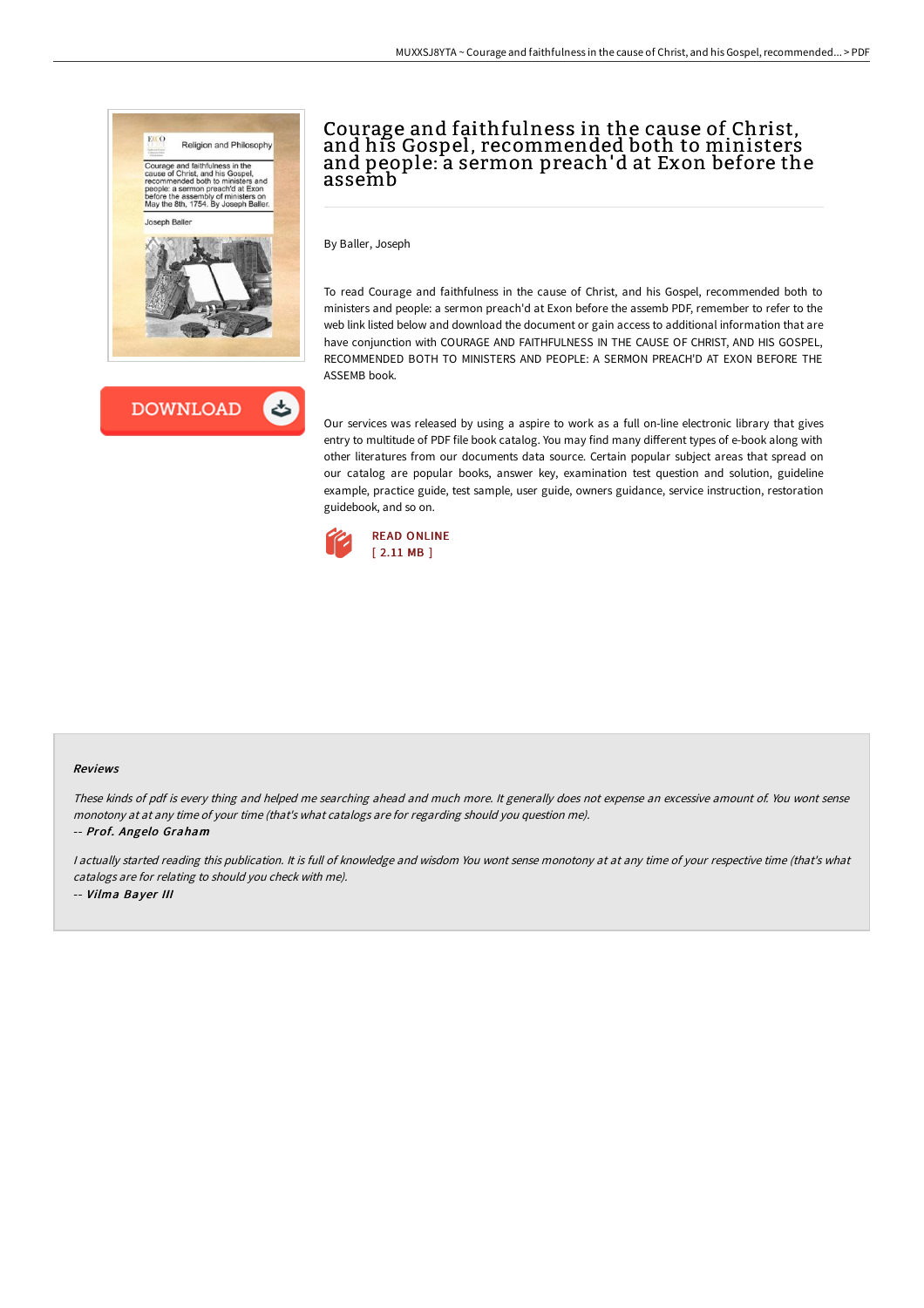



# Courage and faithfulness in the cause of Christ, and his Gospel, recommended both to ministers and people: a sermon preach'd at Exon before the assemb

By Baller, Joseph

To read Courage and faithfulness in the cause of Christ, and his Gospel, recommended both to ministers and people: a sermon preach'd at Exon before the assemb PDF, remember to refer to the web link listed below and download the document or gain access to additional information that are have conjunction with COURAGE AND FAITHFULNESS IN THE CAUSE OF CHRIST, AND HIS GOSPEL, RECOMMENDED BOTH TO MINISTERS AND PEOPLE: A SERMON PREACH'D AT EXON BEFORE THE ASSEMB book.

Our services was released by using a aspire to work as a full on-line electronic library that gives entry to multitude of PDF file book catalog. You may find many different types of e-book along with other literatures from our documents data source. Certain popular subject areas that spread on our catalog are popular books, answer key, examination test question and solution, guideline example, practice guide, test sample, user guide, owners guidance, service instruction, restoration guidebook, and so on.



#### Reviews

These kinds of pdf is every thing and helped me searching ahead and much more. It generally does not expense an excessive amount of. You wont sense monotony at at any time of your time (that's what catalogs are for regarding should you question me).

-- Prof. Angelo Graham

I actually started reading this publication. It is full of knowledge and wisdom You wont sense monotony at at any time of your respective time (that's what catalogs are for relating to should you check with me). -- Vilma Bayer III